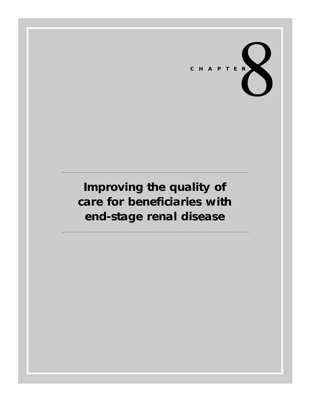

# **Improving the quality of care for beneficiaries with end-stage renal disease**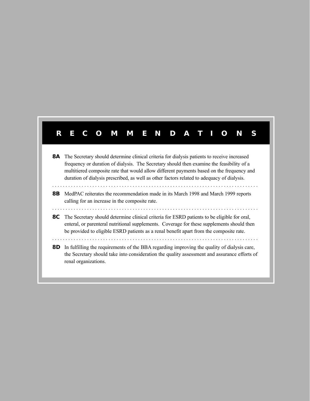# **RECOMMENDA TIONS**

8A The Secretary should determine clinical criteria for dialysis patients to receive increased frequency or duration of dialysis. The Secretary should then examine the feasibility of a multitiered composite rate that would allow different payments based on the frequency and duration of dialysis prescribed, as well as other factors related to adequacy of dialysis. . . . . . . . . . . . . . . . . . . . . . . . . . . . . . . . . . . . . . . . . . . . . . . . . . . . . . . . . . . . . . . . . . . . . . . . . . . . . . **8B** MedPAC reiterates the recommendation made in its March 1998 and March 1999 reports calling for an increase in the composite rate. . . . . . . . . . . . . . . . . . . . . . . . . . . . . . . . . . . . . . . . . . . . . . . . . . . . . . . . . . . . . . . . . . . . . . . . . . . . . . **8C** The Secretary should determine clinical criteria for ESRD patients to be eligible for oral, enteral, or parenteral nutritional supplements. Coverage for these supplements should then be provided to eligible ESRD patients as a renal benefit apart from the composite rate. . . . . . . . . . . . . . . . . . . . . . . . . . . . . . . . . . . . . . . . . . . . . . . . . . . . . . . . . . . . . . . . . . . . . . . . . . . . . . **8D** In fulfilling the requirements of the BBA regarding improving the quality of dialysis care, the Secretary should take into consideration the quality assessment and assurance efforts of

renal organizations.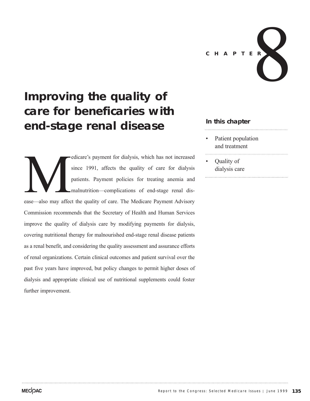

# **Improving the quality of care for beneficaries with end-stage renal disease**

edicare's payment for dialysis, which has not increased<br>since 1991, affects the quality of care for dialysis<br>patients. Payment policies for treating anemia and<br>malnutrition—complications of end-stage renal dis-<br>ease—also m since 1991, affects the quality of care for dialysis patients. Payment policies for treating anemia and malnutrition—complications of end-stage renal disease—also may affect the quality of care. The Medicare Payment Advisory Commission recommends that the Secretary of Health and Human Services improve the quality of dialysis care by modifying payments for dialysis, covering nutritional therapy for malnourished end-stage renal disease patients as a renal benefit, and considering the quality assessment and assurance efforts of renal organizations. Certain clinical outcomes and patient survival over the past five years have improved, but policy changes to permit higher doses of dialysis and appropriate clinical use of nutritional supplements could foster further improvement.

### **In this chapter**

- Patient population and treatment
- Quality of dialysis care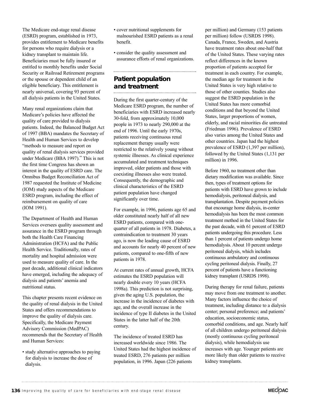The Medicare end-stage renal disease (ESRD) program, established in 1973, provides entitlement to Medicare benefits for persons who require dialysis or a kidney transplant to maintain life. Beneficiaries must be fully insured or entitled to monthly benefits under Social Security or Railroad Retirement programs or the spouse or dependent child of an eligible beneficiary. This entitlement is nearly universal, covering 93 percent of all dialysis patients in the United States.

Many renal organizations claim that Medicare's policies have affected the quality of care provided to dialysis patients. Indeed, the Balanced Budget Act of 1997 (BBA) mandates the Secretary of Health and Human Services to develop "methods to measure and report on quality of renal dialysis services provided under Medicare (BBA 1997)." This is not the first time Congress has shown an interest in the quality of ESRD care. The Omnibus Budget Reconciliation Act of 1987 requested the Institute of Medicine (IOM) study aspects of the Medicare ESRD program, including the effect of reimbursement on quality of care (IOM 1991).

The Department of Health and Human Services oversees quality assessment and assurance in the ESRD program through both the Health Care Financing Administration (HCFA) and the Public Health Service. Traditionally, rates of mortality and hospital admission were used to measure quality of care. In the past decade, additional clinical indicators have emerged, including the adequacy of dialysis and patients' anemia and nutritional status.

This chapter presents recent evidence on the quality of renal dialysis in the United States and offers recommendations to improve the quality of dialysis care. Specifically, the Medicare Payment Advisory Commission (MedPAC) recommends that the Secretary of Health and Human Services:

• study alternative approaches to paying for dialysis to increase the dose of dialysis.

- cover nutritional supplements for malnourished ESRD patients as a renal benefit.
- consider the quality assessment and assurance efforts of renal organizations.

# **Patient population and treatment**

During the first quarter-century of the Medicare ESRD program, the number of beneficiaries with ESRD increased nearly 30-fold, from approximately 10,000 people in 1973 to nearly 290,000 at the end of 1996. Until the early 1970s, patients receiving continuous renal replacement therapy usually were restricted to the relatively young without systemic illnesses. As clinical experience accumulated and treatment techniques improved, older patients and those with coexisting illnesses also were treated. Consequently, the demographic and clinical characteristics of the ESRD patient population have changed significantly over time.

For example, in 1996, patients age 65 and older constituted nearly half of all new ESRD patients, compared with onequarter of all patients in 1978. Diabetes, a contraindication to treatment 30 years ago, is now the leading cause of ESRD and accounts for nearly 40 percent of new patients, compared to one-fifth of new patients in 1978.

At current rates of annual growth, HCFA estimates the ESRD population will nearly double every 10 years (HCFA 1998a). This prediction is not surprising, given the aging U.S. population, the increase in the incidence of diabetes with age, and the overall increase in the incidence of type II diabetes in the United States in the latter half of the 20th century.

The incidence of treated ESRD has increased worldwide since 1986. The United States had the highest incidence of treated ESRD, 276 patients per million population, in 1996. Japan (226 patients

per million) and Germany (153 patients per million) follow (USRDS 1998). Canada, France, Sweden, and Austria have treatment rates about one-half that of the United States. These varying rates reflect differences in the known proportion of patients accepted for treatment in each country. For example, the median age for treatment in the United States is very high relative to those of other counties. Studies also suggest the ESRD population in the United States has more comorbid conditions and that beyond the United States, larger proportions of women, elderly, and racial minorities die untreated (Friedman 1996). Prevalence of ESRD also varies among the United States and other countries. Japan had the highest prevalence of ESRD (1,397 per million), followed by the United States (1,131 per million) in 1996.

Before 1960, no treatment other than dietary modification was available. Since then, types of treatment options for patients with ESRD have grown to include hemodialysis, peritoneal dialysis, and transplantation. Despite payment policies that encourage home dialysis, in-center hemodialysis has been the most common treatment method in the United States for the past decade, with 61 percent of ESRD patients undergoing this procedure. Less than 1 percent of patients undergo home hemodialysis. About 10 percent undergo peritoneal dialysis, which includes continuous ambulatory and continuous cycling peritoneal dialysis. Finally, 27 percent of patients have a functioning kidney transplant (USRDS 1998).

During therapy for renal failure, patients may move from one treatment to another. Many factors influence the choice of treatment, including distance to a dialysis center; personal preference; and patients' education, socioeconomic status, comorbid conditions, and age. Nearly half of all children undergo peritoneal dialysis (mostly continuous cycling peritoneal dialysis), while hemodialysis use increases with age. Younger patients are more likely than older patients to receive kidney transplants.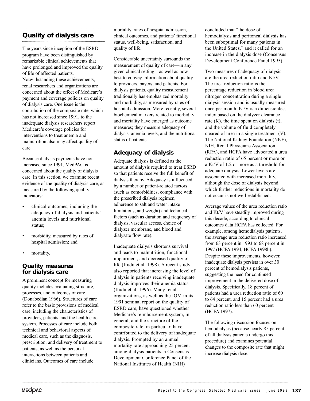# **Quality of dialysis care**

The years since inception of the ESRD program have been distinguished by remarkable clinical achievements that have prolonged and improved the quality of life of affected patients. Notwithstanding these achievements, renal researchers and organizations are concerned about the effect of Medicare's payment and coverage policies on quality of dialysis care. One issue is the contribution of the composite rate, which has not increased since 1991, to the inadequate dialysis researchers report. Medicare's coverage policies for interventions to treat anemia and malnutrition also may affect quality of care.

Because dialysis payments have not increased since 1991, MedPAC is concerned about the quality of dialysis care. In this section, we examine recent evidence of the quality of dialysis care, as measured by the following quality indicators:

- clinical outcomes, including the adequacy of dialysis and patients' anemia levels and nutritional status;
- morbidity, measured by rates of hospital admission; and
- mortality.

#### **Quality measures for dialysis care**

A prominent concept for measuring quality includes evaluating structure, processes, and outcomes of care (Donabedian 1966). Structures of care refer to the basic provisions of medical care, including the characteristics of providers, patients, and the health care system. Processes of care include both technical and behavioral aspects of medical care, such as the diagnosis, prescription, and delivery of treatment to patients, as well as the personal interactions between patients and clinicians. Outcomes of care include

mortality, rates of hospital admission, clinical outcomes, and patients' functional status, well-being, satisfaction, and quality of life.

Considerable uncertainty surrounds the measurement of quality of care—in any given clinical setting—as well as how best to convey information about quality to providers, payers, and patients. For dialysis patients, quality measurement traditionally has emphasized mortality and morbidity, as measured by rates of hospital admission. More recently, several biochemical markers related to morbidity and mortality have emerged as outcome measures; they measure adequacy of dialysis, anemia levels, and the nutritional status of patients.

## **Adequacy of dialysis**

Adequate dialysis is defined as the amount of dialysis required to treat ESRD so that patients receive the full benefit of dialysis therapy. Adequacy is influenced by a number of patient-related factors (such as comorbidities, compliance with the prescribed dialysis regimen, adherence to salt and water intake limitations, and weight) and technical factors (such as duration and frequency of dialysis, vascular access, choice of dialyzer membrane, and blood and dialysate flow rate).

Inadequate dialysis shortens survival and leads to malnutrition, functional impairment, and decreased quality of life (Ifudu et al. 1998). A recent study also reported that increasing the level of dialysis in patients receiving inadequate dialysis improves their anemia status (Ifudu et al. 1996). Many renal organizations, as well as the IOM in its 1991 seminal report on the quality of ESRD care, have questioned whether Medicare's reimbursement system, in general, and the structure of the composite rate, in particular, have contributed to the delivery of inadequate dialysis. Prompted by an annual mortality rate approaching 25 percent among dialysis patients, a Consensus Development Conference Panel of the National Institutes of Health (NIH)

concluded that "the dose of hemodialysis and peritoneal dialysis has been suboptimal for many patients in the United States," and it called for an increase in the dialysis dose (Consensus Development Conference Panel 1995).

Two measures of adequacy of dialysis are the urea reduction ratio and Kt/V. The urea reduction ratio is the percentage reduction in blood urea nitrogen concentration during a single dialysis session and is usually measured once per month. Kt/V is a dimensionless index based on the dialyzer clearance rate (K), the time spent on dialysis (t), and the volume of fluid completely cleared of urea in a single treatment (V). The National Kidney Foundation (NKF), NIH, Renal Physicians Association (RPA), and HCFA have advocated a urea reduction ratio of 65 percent or more or a Kt/V of 1.2 or more as a threshold for adequate dialysis. Lower levels are associated with increased mortality, although the dose of dialysis beyond which further reductions in mortality do not occur is not well established.

Average values of the urea reduction ratio and Kt/V have steadily improved during this decade, according to clinical outcomes data HCFA has collected. For example, among hemodialysis patients, the average urea reduction ratio increased from 63 percent in 1993 to 68 percent in 1997 (HCFA 1994, HCFA 1998b). Despite these improvements, however, inadequate dialysis persists in over 30 percent of hemodialysis patients, suggesting the need for continued improvement in the delivered dose of dialysis. Specifically, 18 percent of patients had a urea reduction ratio of 60 to 64 percent, and 15 percent had a urea reduction ratio less than 60 percent (HCFA 1997).

The following discussion focuses on hemodialysis (because nearly 85 percent of all dialysis patients undergo this procedure) and examines potential changes to the composite rate that might increase dialysis dose.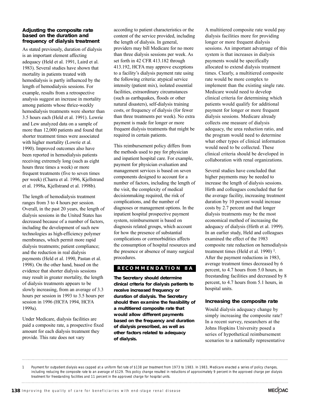#### **Adjusting the composite rate based on the duration and frequency of dialysis treatment**

As stated previously, duration of dialysis is an important element affecting adequacy (Held et al. 1991, Laird et al. 1983). Several studies have shown that mortality in patients treated with hemodialysis is partly influenced by the length of hemodialysis sessions. For example, results from a retrospective analysis suggest an increase in mortality among patients whose thrice-weekly hemodialysis treatments were shorter than 3.5 hours each (Held et al. 1991). Lowrie and Lew analyzed data on a sample of more than 12,000 patients and found that shorter treatment times were associated with higher mortality (Lowrie et al. 1990). Improved outcomes also have been reported in hemodialysis patients receiving extremely long (such as eight hours three times a week) or more frequent treatments (five to seven times per week) (Charra et al. 1996, Kjellstrand et al. 1998a, Kjellstrand et al. 1998b).

The length of hemodialysis treatment ranges from 3 to 4 hours per session. Overall, in the past 20 years, the length of dialysis sessions in the United States has decreased because of a number of factors, including the development of such new technologies as high-efficiency polymer membranes, which permit more rapid dialysis treatments; patient compliance; and the reduction in real dialysis payments (Held et al. 1990, Pastan et al. 1998). On the other hand, based on the evidence that shorter dialysis sessions may result in greater mortality, the length of dialysis treatments appears to be slowly increasing, from an average of 3.3 hours per session in 1993 to 3.5 hours per session in 1996 (HCFA 1994, HCFA 1999a).

Under Medicare, dialysis facilities are paid a composite rate, a prospective fixed amount for each dialysis treatment they provide. This rate does not vary

according to patient characteristics or the content of the service provided, including the length of dialysis. In general, providers may bill Medicare for no more than three dialysis sessions per week. As set forth in 42 CFR 413.182 through 413.192, HCFA may approve exceptions to a facility's dialysis payment rate using the following criteria: atypical service intensity (patient mix), isolated essential facilities, extraordinary circumstances (such as earthquakes, floods or other natural disasters), self-dialysis training costs, or frequency of dialysis (for fewer than three treatments per week). No extra payment is made for longer or more frequent dialysis treatments that might be required in certain patients.

This reimbursement policy differs from the methods used to pay for physician and inpatient hospital care. For example, payment for physician evaluation and management services is based on seven components designed to account for a number of factors, including the length of the visit, the complexity of medical decisionmaking required, the risk of complications, and the number of diagnoses or management options. In the inpatient hospital prospective payment system, reimbursement is based on diagnosis related groups, which account for how the presence of substantial complications or cormorbidities affects the consumption of hospital resources and the presence or absence of many surgical procedures.

#### **RECOMMENDA TION 8A**

**The Secretary should determine clinical criteria for dialysis patients to receive increased frequency or duration of dialysis. The Secretary should then examine the feasibility of a multitiered composite rate that would allow different payments based on the frequency and duration of dialysis prescribed, as well as other factors related to adequacy of dialysis.**

A multitiered composite rate would pay dialysis facilities more for providing longer or more frequent dialysis sessions. An important advantage of this system is that increases in dialysis payments would be specifically allocated to extend dialysis treatment times. Clearly, a multitiered composite rate would be more complex to implement than the existing single rate. Medicare would need to develop clinical criteria for determining which patients would qualify for additional payment for longer or more frequent dialysis sessions. Medicare already collects one measure of dialysis adequacy, the urea reduction ratio, and the program would need to determine what other types of clinical information would need to be collected. These clinical criteria should be developed in collaboration with renal organizations.

Several studies have concluded that higher payments may be needed to increase the length of dialysis sessions. Hirth and colleagues concluded that for the average facility, increasing treatment duration by 10 percent would increase costs by 2.7 percent and that longer dialysis treatments may be the most economical method of increasing the adequacy of dialysis (Hirth et al. 1999). In an earlier study, Held and colleagues examined the effect of the 1983 composite rate reduction on hemodialysis treatment times (Held et al. 1990)<sup>1</sup>. After the payment reductions in 1983, average treatment times decreased by 6 percent, to 4.7 hours from 5.0 hours, in freestanding facilities and decreased by 8 percent, to 4.7 hours from 5.1 hours, in hospital units.

#### **Increasing the composite rate**

Would dialysis adequacy change by simply increasing the composite rate? In a recent survey, researchers at the Johns Hopkins University posed a series of hypothetical reimbursement scenarios to a nationally representative

1 Payment for outpatient dialysis was capped at a uniform flat rate of \$138 per treatment from 1973 to 1983. In 1983, Medicare enacted a series of policy changes, including reducing the composite rate to an average of \$129. This policy change resulted in reductions of approximately 9 percent in the approved charge per dialysis treatment for freestanding facilities and 11 percent in the approved charge for hospital units.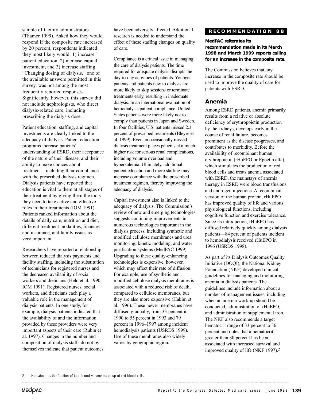sample of facility administrators (Thamer 1999). Asked how they would respond if the composite rate increased by 20 percent, respondents indicated they most likely would: 1) increase patient education, 2) increase capital investment, and 3) increase staffing. "Changing dosing of dialysis," one of the available answers permitted in this survey, was not among the most frequently reported responses. Significantly, however, this survey did not include nephrologists, who direct dialysis-related care, including prescribing the dialysis dose.

Patient education, staffing, and capital investments are clearly linked to the adequacy of dialysis. Patient education programs increase patients' understanding of ESRD, their acceptance of the nature of their disease, and their ability to make choices about treatment—including their compliance with the prescribed dialysis regimen. Dialysis patients have reported that education is vital to them at all stages of their treatment by giving them the tools they need to take active and effective roles in their treatments (IOM 1991). Patients ranked information about the details of daily care, nutrition and diet, different treatment modalities, finances and insurance, and family issues as very important.

Researchers have reported a relationship between reduced dialysis payments and facility staffing, including the substitution of technicians for registered nurses and the decreased availability of social workers and dieticians (Held et al. 1990, IOM 1991). Registered nurses, social workers, and dieticians each play a valuable role in the management of dialysis patients. In one study, for example, dialysis patients indicated that the availability of and the information provided by these providers were very important aspects of their care (Rubin et al. 1997). Changes in the number and composition of dialysis staffs do not by themselves indicate that patient outcomes

have been adversely affected. Additional research is needed to understand the effect of these staffing changes on quality of care.

Compliance is a critical issue in managing the care of dialysis patients. The time required for adequate dialysis disrupts the day-to-day activities of patients. Younger patients and patients new to dialysis are more likely to skip sessions or terminate treatments early, resulting in inadequate dialysis. In an international evaluation of hemodialysis patient compliance, United States patients were more likely not to comply than patients in Japan and Sweden. In four facilities, U.S. patients missed 2.3 percent of prescribed treatments (Bleyer et al. 1999). Even an occasionally missed dialysis treatment places patients at a much higher risk for serious renal complications, including volume overload and hyperkalemia. Ultimately, additional patient education and more staffing may increase compliance with the prescribed treatment regimen, thereby improving the adequacy of dialysis.

Capital investment also is linked to the adequacy of dialysis. The Commission's review of new and emerging technologies suggests continuing improvements in numerous technologies important in the dialysis process, including synthetic and modified cellulose membranes and urea monitoring, kinetic modeling, and water purification systems (MedPAC 1999). Upgrading to these quality-enhancing technologies is expensive, however, which may affect their rate of diffusion. For example, use of synthetic and modified cellulose dialysis membranes is associated with a reduced risk of death, compared to cellulose membranes, but they are also more expensive (Hakim et al. 1996). These newer membranes have diffused gradually, from 33 percent in 1990 to 55 percent in 1993 and 79 percent in 1996–1997 among incident hemodialysis patients (USRDS 1999). Use of these membranes also widely varies by geographic region.

#### **RECOMMENDA TION 8B**

#### **MedPAC reiterates its recommendation made in its March 1998 and March 1999 reports calling for an increase in the composite rate.**

The Commission believes that any increase in the composite rate should be used to improve the quality of care for patients with ESRD.

#### **Anemia**

Among ESRD patients, anemia primarily results from a relative or absolute deficiency of erythropoietin production by the kidneys, develops early in the course of renal failure, becomes prominent as the disease progresses, and contributes to morbidity. Before the availability of recombinant human erythropoietin (rHuEPO or Epoetin alfa), which stimulates the production of red blood cells and treats anemia associated with ESRD, the mainstays of anemia therapy in ESRD were blood transfusions and androgen injections. A recombinant version of the human protein, rHuEPO has improved quality of life and various physiological functions, including cognitive function and exercise tolerance. Since its introduction, rHuEPO has diffused relatively quickly among dialysis patients—84 percent of patients incident to hemodialysis received rHuEPO in 1996 (USRDS 1998).

As part of its Dialysis Outcomes Quality Initiative (DOQI), the National Kidney Foundation (NKF) developed clinical guidelines for managing and monitoring anemia in dialysis patients. The guidelines include information about a number of management issues, including when an anemia work-up should be conducted, administration of rHuEPO, and administration of supplemental iron. The NKF also recommends a target hematocrit range of 33 percent to 36 percent and notes that a hematocrit greater than 30 percent has been associated with increased survival and improved quality of life (NKF 1997).2

<sup>2</sup> Hematocrit is the fraction of total blood volume made up of red blood cells.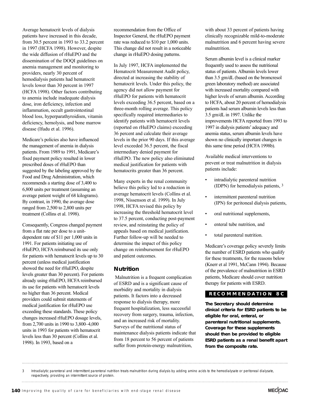Average hematocrit levels of dialysis patients have increased in this decade, from 30.5 percent in 1993 to 33.2 percent in 1997 (HCFA 1998). However, despite the wide diffusion of rHuEPO and the dissemination of the DOQI guidelines on anemia management and monitoring to providers, nearly 30 percent of hemodialysis patients had hematocrit levels lower than 30 percent in 1997 (HCFA 1998). Other factors contributing to anemia include inadequate dialysis dose, iron deficiency, infection and inflammation, occult gastrointestinal blood loss, hyperparathyroidism, vitamin deficiency, hemolysis, and bone marrow disease (Ifudu et al. 1996).

Medicare's policies also have influenced the management of anemia in dialysis patients. From 1989 to 1991, Medicare's fixed payment policy resulted in lower prescribed doses of rHuEPO than suggested by the labeling approved by the Food and Drug Administration, which recommends a starting dose of 3,400 to 6,800 units per treatment (assuming an average patient weight of 68 kilograms). By contrast, in 1990, the average dose ranged from 2,500 to 2,800 units per treatment (Collins et al. 1998).

Consequently, Congress changed payment from a flat rate per dose to a unitdependent rate of \$11 per 1,000 units in 1991. For patients initiating use of rHuEPO, HCFA reimbursed its use only for patients with hematocrit levels up to 30 percent (unless medical justification showed the need for rHuEPO, despite levels greater than 30 percent). For patients already using rHuEPO, HCFA reimbursed its use for patients with hematocrit levels no higher than 36 percent. Medical providers could submit statements of medical justification for rHuEPO use exceeding these standards. These policy changes increased rHuEPO dosage levels, from 2,700 units in 1990 to 3,800–4,000 units in 1993 for patients with hematocrit levels less than 30 percent (Collins et al. 1998). In 1993, based on a

recommendation from the Office of Inspector General, the rHuEPO payment rate was reduced to \$10 per 1,000 units. This change did not result in a noticeable change in rHuEPO dosing patterns.

In July 1997, HCFA implemented the Hematocrit Measurement Audit policy, directed at increasing the stability of hematocrit levels. Under this policy, the agency did not allow payment for rHuEPO for patients with hematocrit levels exceeding 36.5 percent, based on a three-month rolling average. This policy specifically required intermediaries to identify patients with hematocrit levels (reported on rHuEPO claims) exceeding 36 percent and calculate their average levels in the prior 90 days. If this average level exceeded 36.5 percent, the fiscal intermediary denied payment for rHuEPO. The new policy also eliminated medical justification for patients with hematocrits greater than 36 percent.

Many experts in the renal community believe this policy led to a reduction in average hematocrit levels (Collins et al. 1998, Nissenson et al. 1999). In July 1998, HCFA revised this policy by increasing the threshold hematocrit level to 37.5 percent, conducting post-payment review, and reinstating the policy of appeals based on medical justification. Further follow-up will be needed to determine the impact of this policy change on reimbursement for rHuEPO and patient outcomes.

#### **Nutrition**

Malnutrition is a frequent complication of ESRD and is a significant cause of morbidity and mortality in dialysis patients. It factors into a decreased response to dialysis therapy, more frequent hospitalization, less successful recovery from surgery, trauma, infection, and an increased risk of mortality. Surveys of the nutritional status of maintenance dialysis patients indicate that from 18 percent to 56 percent of patients suffer from protein-energy malnutrition,

with about 33 percent of patients having clinically recognizable mild-to-moderate malnutrition and 6 percent having severe malnutrition.

Serum albumin level is a clinical marker frequently used to assess the nutritional status of patients. Albumin levels lower than 3.5 gm/dL (based on the bromcresol green laboratory method) are associated with increased mortality compared with higher levels of serum albumin. According to HCFA, about 20 percent of hemodialysis patients had serum albumin levels less than 3.5 gm/dL in 1997. Unlike the improvements HCFA reported from 1993 to 1997 in dialysis patients' adequacy and anemia status, serum albumin levels have shown no clinically important changes in this same time period (HCFA 1998b).

Available medical interventions to prevent or treat malnutrition in dialysis patients include:

- intradialytic parenteral nutrition (IDPN) for hemodialysis patients, 3
- intermittent parenteral nutrition (IPN) for peritoneal dialysis patients,
- oral nutritional supplements,
- enteral tube nutrition, and
- total parenteral nutrition.

Medicare's coverage policy severely limits the number of ESRD patients who qualify for these treatments, for the reasons below (Knerr et al 1991, McCann 1994). Because of the prevalence of malnutrition in ESRD patients, Medicare should cover nutrition therapy for patients with ESRD.

#### **RECOMMENDA TION 8C**

**The Secretary should determine clinical criteria for ESRD patients to be eligible for oral, enteral, or parenteral nutritional supplements. Coverage for these supplements should then be provided to eligible ESRD patients as a renal benefit apart from the composite rate.** 

<sup>3</sup> Intradialytic parenteral and intermittent parenteral nutrition treats malnutrition during dialysis by adding amino acids to the hemodialysate or peritoneal dialysate, respectively, providing an intermittent source of protein.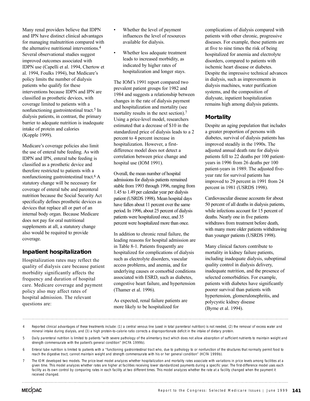Many renal providers believe that IDPN and IPN have distinct clinical advantages for managing malnutrition compared with the alternative nutritional interventions.4 Several observational studies suggest improved outcomes associated with IDPN use (Capelli et al. 1994, Chertow et al. 1994, Foulks 1994), but Medicare's policy limits the number of dialysis patients who qualify for these interventions because IDPN and IPN are classified as prosthetic devices, with coverage limited to patients with a nonfunctioning gastrointestinal tract.5 In dialysis patients, in contrast, the primary barrier to adequate nutrition is inadequate intake of protein and calories (Kopple 1999).

Medicare's coverage policies also limit the use of enteral tube feeding. As with IDPN and IPN, enteral tube feeding is classified as a prosthetic device and therefore restricted to patients with a nonfunctioning gastrointestinal tract.6 A statutory change will be necessary for coverage of enteral tube and parenteral nutrition because the Social Security Act specifically defines prosthetic devices as devices that replace all or part of an internal body organ. Because Medicare does not pay for oral nutritional supplements at all, a statutory change also would be required to provide coverage.

#### **Inpatient hospitalization**

Hospitalization rates may reflect the quality of dialysis care because patient morbidity significantly affects the frequency and duration of hospital care. Medicare coverage and payment policy also may affect rates of hospital admission. The relevant questions are:

- Whether the level of payment influences the level of resources available for dialysis.
- Whether less adequate treatment leads to increased morbidity, as indicated by higher rates of hospitalization and longer stays.

The IOM's 1991 report compared two prevalent patient groups for 1982 and 1984 and suggests a relationship between changes in the rate of dialysis payment and hospitalization and mortality (see mortality results in the next section).<sup>7</sup> Using a price-level model, researchers estimated that a decrease of \$10 in the standardized price of dialysis leads to a 2 percent to 4 percent increase in hospitalization. However, a firstdifference model does not detect a correlation between price change and hospital use (IOM 1991).

Overall, the mean number of hospital admissions for dialysis patients remained stable from 1993 through 1996, ranging from 1.45 to 1.49 per calendar year per dialysis patient (USRDS 1998). Mean hospital days have fallen about 11 percent over the same period. In 1996, about 25 percent of dialysis patients were hospitalized once, and 35 percent were hospitalized more than once.

In addition to chronic renal failure, the leading reasons for hospital admission are in Table 8-1. Patients frequently are hospitalized for complications of dialysis such as electrolyte disorders, vascular access problems, and anemia, and for underlying causes or comorbid conditions associated with ESRD, such as diabetes, congestive heart failure, and hypertension (Thamer et al. 1996).

As expected, renal failure patients are more likely to be hospitalized for

complications of dialysis compared with patients with other chronic, progressive diseases. For example, these patients are at five to nine times the risk of being hospitalized for anemia and electrolyte disorders, compared to patients with ischemic heart disease or diabetes. Despite the impressive technical advances in dialysis, such as improvements in dialysis machines, water purification systems, and the composition of dialysate, inpatient hospitalization remains high among dialysis patients.

### **Mortality**

Despite an aging population that includes a greater proportion of persons with diabetes, survival of dialysis patients has improved steadily in the 1990s. The adjusted annual death rate for dialysis patients fell to 22 deaths per 100 patientyears in 1996 from 26 deaths per 100 patient-years in 1989. The adjusted fiveyear rate for survival patients has improved to 29 percent in 1991 from 24 percent in 1981 (USRDS 1998).

Cardiovascular disease accounts for about 50 percent of all deaths in dialysis patients, while infections account for 15 percent of deaths. Nearly one in five patients withdraws from treatment before death, with many more older patients withdrawing than younger patients (USRDS 1998).

Many clinical factors contribute to mortality in kidney failure patients, including inadequate dialysis, suboptimal quality control in dialysis delivery, inadequate nutrition, and the presence of selected comorbidities. For example, patients with diabetes have significantly poorer survival than patients with hypertension, glomerulonephritis, and polycystic kidney disease (Byrne et al. 1994).

- 4 Reported clinical advantages of these treatments include: (1) a central venous line (used in total parenteral nutrition) is not needed, (2) the removal of excess water and mineral intake during dialysis, and (3) a high protein-to-calorie ratio corrects a disproportionate deficit in the intake of dietary protein.
- 5 Daily parenteral nutrition is limited to patients "with severe pathology of the alimentary tract which does not allow absorption of sufficient nutrients to maintain weight and strength commensurate with the patient's general condition" (HCFA 1999b).
- 6 Enteral tube nutrition is limited to patients with a "functioning gastrointestinal tract who, due to pathology to or nonfunction of the structures that normally permit food to reach the digestive tract, cannot maintain weight and strength commensurate with his or her general condition" (HCFA 1999b).
- 7 The IOM developed two models. The price-level model analyzes whether hospitalization and mortality rates associate with variations in price levels among facilities at a given time. This model analyzes whether rates are higher at facilities receiving lower standardized payments during a specific year. The first-difference model uses each facility as its own control by comparing rates in each facility at two different times. This model analyzes whether the rate at a facility changed when the payment it received changed.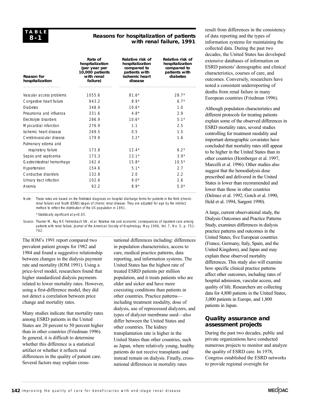#### **Reasons for hospitalization of patients with renal failure, 1991**

| <b>Reason for</b><br>hospitalization | Rate of<br>hospitalization<br>(per year per<br>10,000 patients<br>with renal<br>failure) | Relative risk of<br>hospitalization<br>compared to<br>patients with<br>ischemic heart<br>disease | Relative risk of<br>hospitalization<br>compared to<br>patients with<br>diabetes |
|--------------------------------------|------------------------------------------------------------------------------------------|--------------------------------------------------------------------------------------------------|---------------------------------------------------------------------------------|
| Vascular access problems             | 1055.6                                                                                   | $81.6*$                                                                                          | $28.7*$                                                                         |
| Congestive heart failure             | 943.2                                                                                    | $8.9*$                                                                                           | $6.7*$                                                                          |
| <b>Diabetes</b>                      | 348.9                                                                                    | $10.6*$                                                                                          | 1 <sub>0</sub>                                                                  |
| Pneumonia and influenza              | 331.6                                                                                    | $4.8*$                                                                                           | 2.9                                                                             |
| Electrolyte disorders                | 286.9                                                                                    | $10.6*$                                                                                          | $5.1*$                                                                          |
| Myocardial infarction                | 2769                                                                                     | 11                                                                                               | 2.5                                                                             |
| Ischemic heart disease               | 269.5                                                                                    | 0.5                                                                                              | 1.5                                                                             |
| Cerebrovascular disease              | 179.9                                                                                    | $3.2*$                                                                                           | 1.6                                                                             |
| Pulmonary edema and                  |                                                                                          |                                                                                                  |                                                                                 |
| respiratory failure                  | 173.8                                                                                    | $12.4*$                                                                                          | $6.2*$                                                                          |
| Sepsis and septicemia                | 173.3                                                                                    | $13.1*$                                                                                          | $39*$                                                                           |
| Gastrointestinal hemorrhage          | 162.4                                                                                    | $15.8*$                                                                                          | $10.5*$                                                                         |
| Hypertension                         | 154.6                                                                                    | $5.1*$                                                                                           | 2.7                                                                             |
| Conductive disorders                 | 132.8                                                                                    | 2.0                                                                                              | 2.2                                                                             |
| Urinary tract infection              | 102.6                                                                                    | 9.0 <sup>*</sup>                                                                                 | 2.6                                                                             |
| Anemia                               | 92.2                                                                                     | $8.9*$                                                                                           | $5.0*$                                                                          |

Note: These rates are based on the first-listed diagnosis on hospital discharge forms for patients in the third (chronic renal failure) and fourth (ESRD) stages of chronic renal disease. They are adjusted for age by the indirect method to reflect the distribution of the US population in 1991.

\*Statistically significant at p<0.05.

Source: Thamer M, Ray NF, Fehrenbach SN, et al. Relative risk and economic consequences of inpatient care among patients with renal failure, Journal of the American Society of Nephrology. May 1996, Vol. 7, No. 5, p. 751-762.

The IOM's 1991 report compared two prevalent patient groups for 1982 and 1984 and found a suggestive relationship between changes in the dialysis payment rate and mortality (IOM 1991). Using a price-level model, researchers found that higher standardized dialysis payments related to lower mortality rates. However, using a first-difference model, they did not detect a correlation between price change and mortality rates.

Many studies indicate that mortality rates among ESRD patients in the United States are 20 percent to 50 percent higher than in other countries (Friedman 1996). In general, it is difficult to determine whether this difference is a statistical artifact or whether it reflects real differences in the quality of patient care. Several factors may explain crossnational differences including: differences in population characteristics, access to care, medical practice patterns, data reporting, and information systems. The United States has the highest rate of treated ESRD patients per million population, and it treats patients who are older and sicker and have more coexisting conditions than patients in other countries. Practice patterns including treatment modality, dose of dialysis, use of reprocessed dialyzers, and types of dialyzer membrane used—also differ between the United States and other countries. The kidney transplantation rate is higher in the United States than other countries, such as Japan, where relatively young, healthy patients do not receive transplants and instead remain on dialysis. Finally, crossnational differences in mortality rates

result from differences in the consistency of data reporting and the types of information systems for maintaining the collected data. During the past two decades, the United States has developed extensive databases of information on ESRD patients' demographic and clinical characteristics, courses of care, and outcomes. Conversely, researchers have noted a consistent underreporting of deaths from renal failure in many European countries (Friedman 1996).

Although population characteristics and different protocols for treating patients explain some of the observed differences in ESRD mortality rates, several studies controlling for treatment modality and important demographic covariates have concluded that mortality rates still appear to be higher in the United States than in other countries (Hornberger et al. 1997, Marcelli et al. 1996). Other studies also suggest that the hemodialysis dose prescribed and delivered in the United States is lower than recommended and lower than those in other countries (Delmez et al. 1992, Gotch et al. 1990, Held et al. 1994, Sargent 1990).

A large, current observational study, the Dialysis Outcomes and Practice Patterns Study, examines differences in dialysis practice patterns and outcomes in the United States, five European countries (France, Germany, Italy, Spain, and the United Kingdom), and Japan and may explain these observed mortality differences. This study also will examine how specific clinical practice patterns affect other outcomes, including rates of hospital admission, vascular access, and quality of life. Researchers are collecting data for 4,800 patients in the United States, 3,000 patients in Europe, and 1,800 patients in Japan.

#### **Quality assurance and assessment projects**

During the past two decades, public and private organizations have conducted numerous projects to monitor and analyze the quality of ESRD care. In 1978, Congress established the ESRD networks to provide regional oversight for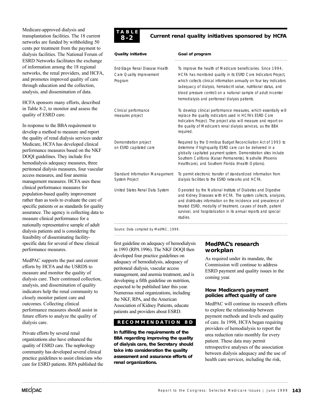Medicare-approved dialysis and transplantation facilities. The 18 current networks are funded by withholding 50 cents per treatment from the payment to dialysis facilities. The National Forum of ESRD Networks facilitates the exchange of information among the 18 regional networks, the renal providers, and HCFA, and promotes improved quality of care through education and the collection, analysis, and dissemination of data.

HCFA sponsors many efforts, described in Table 8-2, to monitor and assess the quality of ESRD care.

In response to the BBA requirement to develop a method to measure and report the quality of renal dialysis services under Medicare, HCFA has developed clinical performance measures based on the NKF DOQI guidelines. They include five hemodialysis adequacy measures, three peritoneal dialysis measures, four vascular access measures, and four anemia management measures. HCFA uses these clinical performance measures for population-based quality improvement rather than as tools to evaluate the care of specific patients or as standards for quality assurance. The agency is collecting data to measure clinical performance for a nationally representative sample of adult dialysis patients and is considering the feasibility of disseminating facilityspecific data for several of these clinical performance measures.

MedPAC supports the past and current efforts by HCFA and the USRDS to measure and monitor the quality of dialysis care. Their continued collection, analysis, and dissemination of quality indicators help the renal community to closely monitor patient care and outcomes. Collecting clinical performance measures should assist in future efforts to analyze the quality of dialysis care.

Private efforts by several renal organizations also have enhanced the quality of ESRD care. The nephrology community has developed several clinical practice guidelines to assist clinicians who care for ESRD patients. RPA published the

#### **T ABLE 8-2**

## **Current renal quality initiatives sponsored by HCFA**

| <b>Quality initiative</b>                                             | Goal of program                                                                                                                                                                                                                                                                                                                                                                                 |
|-----------------------------------------------------------------------|-------------------------------------------------------------------------------------------------------------------------------------------------------------------------------------------------------------------------------------------------------------------------------------------------------------------------------------------------------------------------------------------------|
| End-Stage Renal Disease Health<br>Care Quality Improvement<br>Program | To improve the health of Medicare beneficiaries. Since 1994,<br>HCFA has monitored quality in its ESRD Core Indicators Project,<br>which collects clinical information annually on four key indicators<br>(adequacy of dialysis, hematocrit value, nutritional status, and<br>blood pressure control) on a national sample of adult in-center<br>hemodialysis and peritoneal dialysis patients. |
| Clinical performance<br>measures project                              | To develop clinical performance measures, which essentially will<br>replace the quality indicators used in HCFA's ESRD Core<br>Indicators Project. The project also will measure and report on<br>the quality of Medicare's renal dialysis services, as the BBA<br>required.                                                                                                                    |
| Demonstration project<br>on ESRD capitated care                       | Required by the Omnibus Budget Reconciliation Act of 1993 to<br>determine if high-quality ESRD care can be delivered in a<br>globally capitated payment system. Demonstration sites include<br>Southern Califonia (Kaiser Permanente), Nashville (Phoenix<br>Healthcare), and Southern Florida (Health Options).                                                                                |
| Standard Information Management<br>System Project                     | To permit electronic transfer of standardized information from<br>dialysis facilities to the ESRD networks and HCFA.                                                                                                                                                                                                                                                                            |
| United States Renal Data System                                       | Operated by the National Institute of Diabetes and Digestive<br>and Kidney Diseases with HCFA. The system collects, analyzes,<br>and distributes information on the incidence and prevalence of<br>treated ESRD, modality of treatment, causes of death, patient<br>survival, and hospitalization in its annual reports and special<br>studies.                                                 |

Source: Data compiled by MedPAC, 1999.

first guideline on adequacy of hemodialysis in 1993 (RPA 1996). The NKF DOQI then developed four practice guidelines on adequacy of hemodialysis, adequacy of peritoneal dialysis, vascular access management, and anemia treatment, and is developing a fifth guideline on nutrition, expected to be published later this year. Numerous renal organizations, including the NKF, RPA, and the American Association of Kidney Patients, educate patients and providers about ESRD.

#### **RECOMMENDA TION 8D**

**In fulfilling the requirements of the BBA regarding improving the quality of dialysis care, the Secretary should take into consideration the quality assessment and assurance efforts of renal organizations.**

#### **MedPAC's research workplan**

As required under its mandate, the Commission will continue to address ESRD payment and quality issues in the coming year.

#### **How Medicare's payment policies affect quality of care**

MedPAC will continue its research efforts to explore the relationship between payment methods and levels and quality of care. In 1998, HCFA began requiring providers of hemodialysis to report the urea reduction ratio monthly for every patient. These data may permit retrospective analyses of the association between dialysis adequacy and the use of health care services, including the risk,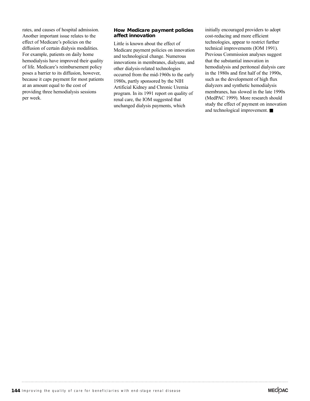rates, and causes of hospital admission. Another important issue relates to the effect of Medicare's policies on the diffusion of certain dialysis modalities. For example, patients on daily home hemodialysis have improved their quality of life. Medicare's reimbursement policy poses a barrier to its diffusion, however, because it caps payment for most patients at an amount equal to the cost of providing three hemodialysis sessions per week.

#### **How Medicare payment policies affect innovation**

Little is known about the effect of Medicare payment policies on innovation and technological change. Numerous innovations in membranes, dialysate, and other dialysis-related technologies occurred from the mid-1960s to the early 1980s, partly sponsored by the NIH Artificial Kidney and Chronic Uremia program. In its 1991 report on quality of renal care, the IOM suggested that unchanged dialysis payments, which

initially encouraged providers to adopt cost-reducing and more efficient technologies, appear to restrict further technical improvements (IOM 1991). Previous Commission analyses suggest that the substantial innovation in hemodialysis and peritoneal dialysis care in the 1980s and first half of the 1990s, such as the development of high flux dialyzers and synthetic hemodialysis membranes, has slowed in the late 1990s (MedPAC 1999). More research should study the effect of payment on innovation and technological improvement. ■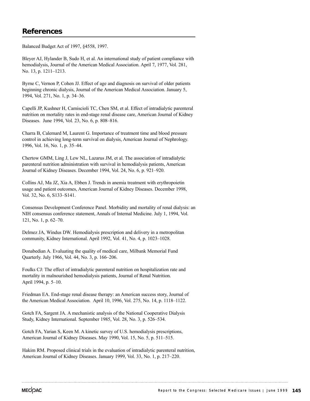Balanced Budget Act of 1997, §4558, 1997.

Bleyer AJ, Hylander B, Sudo H, et al. An international study of patient compliance with hemodialysis, Journal of the American Medical Association. April 7, 1977, Vol. 281, No. 13, p. 1211–1213.

Byrne C, Vernon P, Cohen JJ. Effect of age and diagnosis on survival of older patients beginning chronic dialysis, Journal of the American Medical Association. January 5, 1994, Vol. 271, No. 1, p. 34–36.

Capelli JP, Kushner H, Camiscioli TC, Chen SM, et al. Effect of intradialytic parenteral nutrition on mortality rates in end-stage renal disease care, American Journal of Kidney Diseases. June 1994, Vol. 23, No. 6, p. 808–816.

Charra B, Calemard M, Laurent G. Importance of treatment time and blood pressure control in achieving long-term survival on dialysis, American Journal of Nephrology. 1996, Vol. 16, No. 1, p. 35–44.

Chertow GMM, Ling J, Lew NL, Lazarus JM, et al. The association of intradialytic parenteral nutrition administration with survival in hemodialysis patients, American Journal of Kidney Diseases. December 1994, Vol. 24, No. 6, p. 921–920.

Collins AJ, Ma JZ, Xia A, Ebben J. Trends in anemia treatment with erythropoietin usage and patient outcomes, American Journal of Kidney Diseases. December 1998, Vol. 32, No. 6, S133–S141.

Consensus Development Conference Panel. Morbidity and mortality of renal dialysis: an NIH consensus conference statement, Annals of Internal Medicine. July 1, 1994, Vol. 121, No. 1, p. 62–70.

Delmez JA, Windus DW. Hemodialysis prescription and delivery in a metropolitan community, Kidney International. April 1992, Vol. 41, No. 4, p. 1023–1028.

Donabedian A. Evaluating the quality of medical care, Milbank Memorial Fund Quarterly. July 1966, Vol. 44, No. 3, p. 166–206.

Foulks CJ: The effect of intradialytic parenteral nutrition on hospitalization rate and mortality in malnourished hemodialysis patients, Journal of Renal Nutrition. April 1994, p. 5–10.

Friedman EA. End-stage renal disease therapy: an American success story, Journal of the American Medical Association. April 10, 1996, Vol. 275, No. 14, p. 1118–1122.

Gotch FA, Sargent JA. A mechanistic analysis of the National Cooperative Dialysis Study, Kidney International. September 1985, Vol. 28, No. 3, p. 526–534.

Gotch FA, Yarian S, Keen M. A kinetic survey of U.S. hemodialysis prescriptions, American Journal of Kidney Diseases. May 1990, Vol. 15, No. 5, p. 511–515.

Hakim RM. Proposed clinical trials in the evaluation of intradialytic parenteral nutrition, American Journal of Kidney Diseases. January 1999, Vol. 33, No. 1, p. 217–220.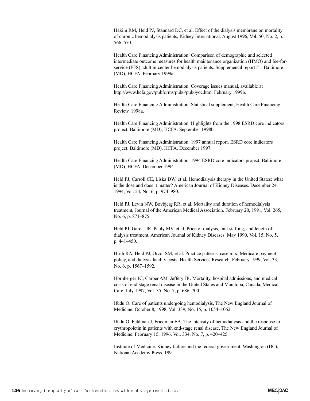Hakim RM, Held PJ, Stannard DC, et al. Effect of the dialysis membrane on mortality of chronic hemodialysis patients, Kidney International. August 1996, Vol. 50, No. 2, p. 566–570.

Health Care Financing Administration. Comparison of demographic and selected intermediate outcome measures for health maintenance organization (HMO) and fee-forservice (FFS) adult in-center hemodialysis patients. Supplemental report #1. Baltimore (MD), HCFA. February 1999a.

Health Care Financing Administration. Coverage issues manual, available at http://www.hcfa.gov/pubforms/pub6/pub6yoc.htm. February 1999b.

Health Care Financing Administration. Statistical supplement, Health Care Financing Review. 1998a.

Health Care Financing Administration. Highlights from the 1998 ESRD core indicators project. Baltimore (MD), HCFA. September 1998b.

Health Care Financing Administration. 1997 annual report. ESRD core indicators project. Baltimore (MD), HCFA. December 1997.

Health Care Financing Administration. 1994 ESRD core indicators project. Baltimore (MD), HCFA. December 1994.

Held PJ, Carroll CE, Liska DW, et al. Hemodialysis therapy in the United States: what is the dose and does it matter? American Journal of Kidney Diseases. December 24, 1994, Vol. 24, No. 6, p. 974–980.

Held PJ, Levin NW, Bovbjerg RR, et al. Mortality and duration of hemodialysis treatment, Journal of the American Medical Association. February 20, 1991, Vol. 265, No. 6, p. 871–875.

Held PJ, Garcia JR, Pauly MV, et al. Price of dialysis, unit staffing, and length of dialysis treatment, American Journal of Kidney Diseases. May 1990, Vol. 15, No. 5, p. 441–450.

Hirth RA, Held PJ, Orzol SM, et al. Practice patterns, case mix, Medicare payment policy, and dialysis facility costs, Health Services Research. February 1999, Vol. 33, No. 6, p. 1567–1592.

Hornberger JC, Garber AM, Jeffery JR. Mortality, hospital admissions, and medical costs of end-stage renal disease in the United States and Manitoba, Canada, Medical Care. July 1997, Vol. 35, No. 7, p. 686–700.

Ifudu O. Care of patients undergoing hemodialysis, The New England Journal of Medicine. October 8, 1998, Vol. 339, No. 15, p. 1054–1062.

Ifudu O, Feldman J, Friedman EA. The intensity of hemodialysis and the response to erythropoietin in patients with end-stage renal disease, The New England Journal of Medicine. February 15, 1996, Vol. 334, No. 7, p. 420–425.

Institute of Medicine. Kidney failure and the federal government. Washington (DC), National Academy Press. 1991.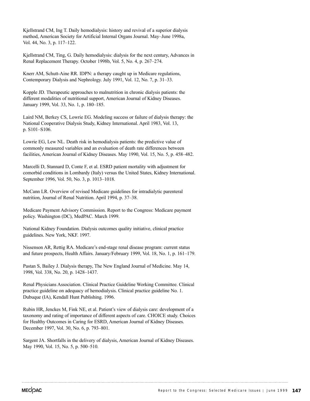Kjellstrand CM, Ing T. Daily hemodialysis: history and revival of a superior dialysis method, American Society for Artificial Internal Organs Journal. May–June 1998a, Vol. 44, No. 3, p. 117–122.

Kjellstrand CM, Ting, G. Daily hemodialysis: dialysis for the next century, Advances in Renal Replacement Therapy. October 1998b, Vol. 5, No. 4, p. 267–274.

Knerr AM, Schutt-Aine RR. IDPN: a therapy caught up in Medicare regulations, Contemporary Dialysis and Nephrology. July 1991, Vol. 12, No. 7, p. 31–33.

Kopple JD. Therapeutic approaches to malnutrition in chronic dialysis patients: the different modalities of nutritional support, American Journal of Kidney Diseases. January 1999, Vol. 33, No. 1, p. 180–185.

Laird NM, Berkey CS, Lowrie EG. Modeling success or failure of dialysis therapy: the National Cooperative Dialysis Study, Kidney International. April 1983, Vol. 13, p. S101–S106.

Lowrie EG, Lew NL. Death risk in hemodialysis patients: the predictive value of commonly measured variables and an evaluation of death rate differences between facilities, American Journal of Kidney Diseases. May 1990, Vol. 15, No. 5, p. 458–482.

Marcelli D, Stannard D, Conte F, et al. ESRD patient mortality with adjustment for comorbid conditions in Lombardy (Italy) versus the United States, Kidney International. September 1996, Vol. 50, No. 3, p. 1013–1018.

McCann LR. Overview of revised Medicare guidelines for intradialytic parenteral nutrition, Journal of Renal Nutrition. April 1994, p. 37–38.

Medicare Payment Advisory Commission. Report to the Congress: Medicare payment policy. Washington (DC), MedPAC. March 1999.

National Kidney Foundation. Dialysis outcomes quality initiative, clinical practice guidelines. New York, NKF. 1997.

Nissenson AR, Rettig RA. Medicare's end-stage renal disease program: current status and future prospects, Health Affairs. January/February 1999, Vol. 18, No. 1, p. 161–179.

Pastan S, Bailey J. Dialysis therapy, The New England Journal of Medicine. May 14, 1998, Vol. 338, No. 20, p. 1428–1437.

Renal Physicians Association. Clinical Practice Guideline Working Committee. Clinical practice guideline on adequacy of hemodialysis. Clinical practice guideline No. 1. Dubuque (IA), Kendall Hunt Publishing. 1996.

Rubin HR, Jenckes M, Fink NE, et al. Patient's view of dialysis care: development of a taxonomy and rating of importance of different aspects of care. CHOICE study. Choices for Healthy Outcomes in Caring for ESRD, American Journal of Kidney Diseases. December 1997, Vol. 30, No. 6, p. 793–801.

Sargent JA. Shortfalls in the delivery of dialysis, American Journal of Kidney Diseases. May 1990, Vol. 15, No. 5, p. 500–510.